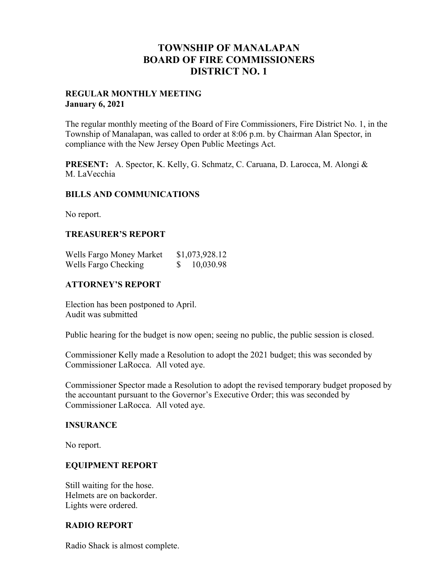# **TOWNSHIP OF MANALAPAN BOARD OF FIRE COMMISSIONERS DISTRICT NO. 1**

### **REGULAR MONTHLY MEETING January 6, 2021**

The regular monthly meeting of the Board of Fire Commissioners, Fire District No. 1, in the Township of Manalapan, was called to order at 8:06 p.m. by Chairman Alan Spector, in compliance with the New Jersey Open Public Meetings Act.

**PRESENT:** A. Spector, K. Kelly, G. Schmatz, C. Caruana, D. Larocca, M. Alongi & M. LaVecchia

### **BILLS AND COMMUNICATIONS**

No report.

### **TREASURER'S REPORT**

| Wells Fargo Money Market | \$1,073,928.12 |
|--------------------------|----------------|
| Wells Fargo Checking     | 10,030.98      |

### **ATTORNEY'S REPORT**

Election has been postponed to April. Audit was submitted

Public hearing for the budget is now open; seeing no public, the public session is closed.

Commissioner Kelly made a Resolution to adopt the 2021 budget; this was seconded by Commissioner LaRocca. All voted aye.

Commissioner Spector made a Resolution to adopt the revised temporary budget proposed by the accountant pursuant to the Governor's Executive Order; this was seconded by Commissioner LaRocca. All voted aye.

#### **INSURANCE**

No report.

### **EQUIPMENT REPORT**

Still waiting for the hose. Helmets are on backorder. Lights were ordered.

### **RADIO REPORT**

Radio Shack is almost complete.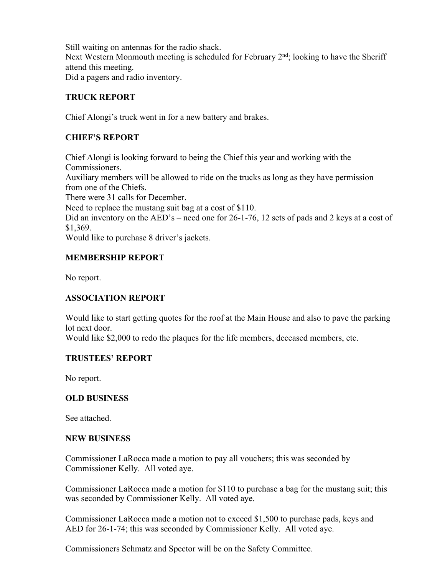Still waiting on antennas for the radio shack. Next Western Monmouth meeting is scheduled for February  $2<sup>nd</sup>$ ; looking to have the Sheriff attend this meeting.

Did a pagers and radio inventory.

# **TRUCK REPORT**

Chief Alongi's truck went in for a new battery and brakes.

# **CHIEF'S REPORT**

Chief Alongi is looking forward to being the Chief this year and working with the Commissioners. Auxiliary members will be allowed to ride on the trucks as long as they have permission from one of the Chiefs. There were 31 calls for December. Need to replace the mustang suit bag at a cost of \$110. Did an inventory on the AED's – need one for 26-1-76, 12 sets of pads and 2 keys at a cost of \$1,369. Would like to purchase 8 driver's jackets.

## **MEMBERSHIP REPORT**

No report.

### **ASSOCIATION REPORT**

Would like to start getting quotes for the roof at the Main House and also to pave the parking lot next door. Would like \$2,000 to redo the plaques for the life members, deceased members, etc.

### **TRUSTEES' REPORT**

No report.

### **OLD BUSINESS**

See attached.

### **NEW BUSINESS**

Commissioner LaRocca made a motion to pay all vouchers; this was seconded by Commissioner Kelly. All voted aye.

Commissioner LaRocca made a motion for \$110 to purchase a bag for the mustang suit; this was seconded by Commissioner Kelly. All voted aye.

Commissioner LaRocca made a motion not to exceed \$1,500 to purchase pads, keys and AED for 26-1-74; this was seconded by Commissioner Kelly. All voted aye.

Commissioners Schmatz and Spector will be on the Safety Committee.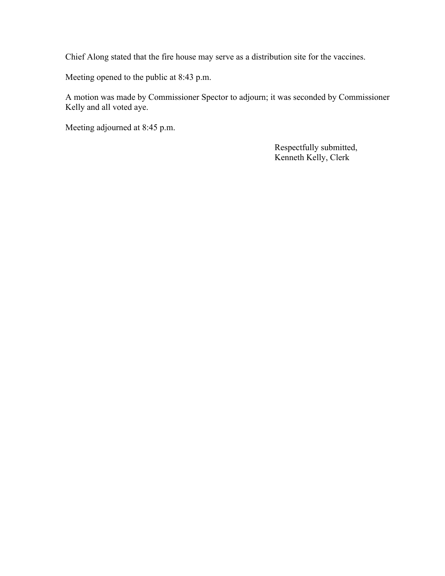Chief Along stated that the fire house may serve as a distribution site for the vaccines.

Meeting opened to the public at 8:43 p.m.

A motion was made by Commissioner Spector to adjourn; it was seconded by Commissioner Kelly and all voted aye.

Meeting adjourned at 8:45 p.m.

 Respectfully submitted, Kenneth Kelly, Clerk